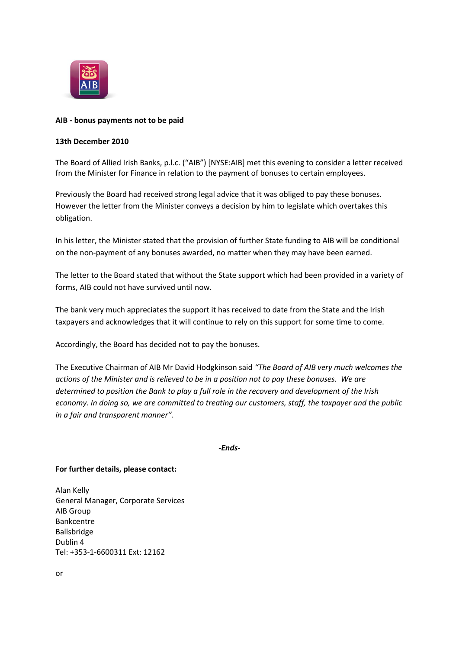

## **AIB - bonus payments not to be paid**

## **13th December 2010**

The Board of Allied Irish Banks, p.l.c. ("AIB") [NYSE:AIB] met this evening to consider a letter received from the Minister for Finance in relation to the payment of bonuses to certain employees.

Previously the Board had received strong legal advice that it was obliged to pay these bonuses. However the letter from the Minister conveys a decision by him to legislate which overtakes this obligation.

In his letter, the Minister stated that the provision of further State funding to AIB will be conditional on the non-payment of any bonuses awarded, no matter when they may have been earned.

The letter to the Board stated that without the State support which had been provided in a variety of forms, AIB could not have survived until now.

The bank very much appreciates the support it has received to date from the State and the Irish taxpayers and acknowledges that it will continue to rely on this support for some time to come.

Accordingly, the Board has decided not to pay the bonuses.

The Executive Chairman of AIB Mr David Hodgkinson said *"The Board of AIB very much welcomes the actions of the Minister and is relieved to be in a position not to pay these bonuses. We are determined to position the Bank to play a full role in the recovery and development of the Irish economy. In doing so, we are committed to treating our customers, staff, the taxpayer and the public in a fair and transparent manner"*.

*-Ends-*

## **For further details, please contact:**

Alan Kelly General Manager, Corporate Services AIB Group Bankcentre Ballsbridge Dublin 4 Tel: +353-1-6600311 Ext: 12162

or